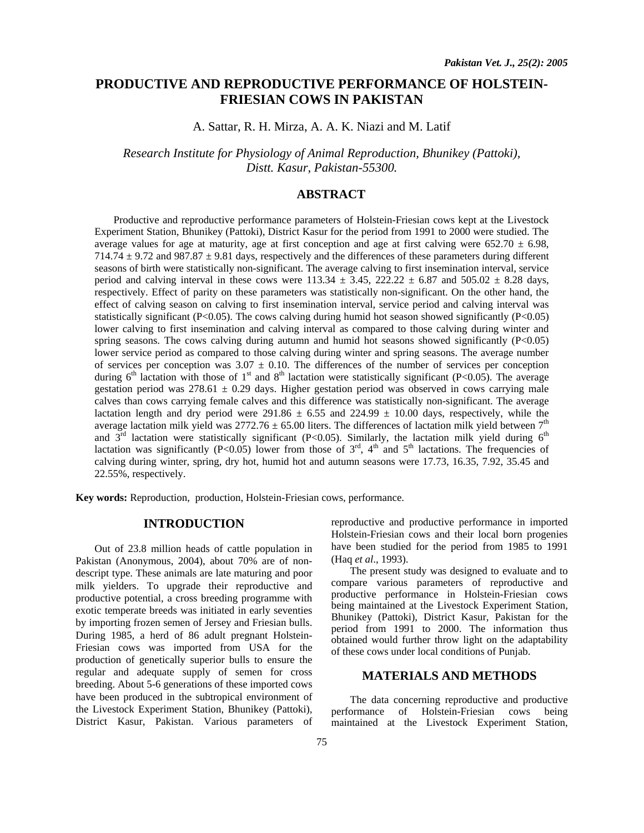# **PRODUCTIVE AND REPRODUCTIVE PERFORMANCE OF HOLSTEIN-FRIESIAN COWS IN PAKISTAN**

A. Sattar, R. H. Mirza, A. A. K. Niazi and M. Latif

*Research Institute for Physiology of Animal Reproduction, Bhunikey (Pattoki), Distt. Kasur, Pakistan-55300.*

# **ABSTRACT**

Productive and reproductive performance parameters of Holstein-Friesian cows kept at the Livestock Experiment Station, Bhunikey (Pattoki), District Kasur for the period from 1991 to 2000 were studied. The average values for age at maturity, age at first conception and age at first calving were  $652.70 \pm 6.98$ ,  $714.74 \pm 9.72$  and  $987.87 \pm 9.81$  days, respectively and the differences of these parameters during different seasons of birth were statistically non-significant. The average calving to first insemination interval, service period and calving interval in these cows were  $113.34 \pm 3.45$ ,  $222.22 \pm 6.87$  and  $505.02 \pm 8.28$  days, respectively. Effect of parity on these parameters was statistically non-significant. On the other hand, the effect of calving season on calving to first insemination interval, service period and calving interval was statistically significant (P<0.05). The cows calving during humid hot season showed significantly (P<0.05) lower calving to first insemination and calving interval as compared to those calving during winter and spring seasons. The cows calving during autumn and humid hot seasons showed significantly  $(P<0.05)$ lower service period as compared to those calving during winter and spring seasons. The average number of services per conception was  $3.07 \pm 0.10$ . The differences of the number of services per conception during  $6<sup>th</sup>$  lactation with those of 1<sup>st</sup> and 8<sup>th</sup> lactation were statistically significant (P<0.05). The average gestation period was  $278.61 \pm 0.29$  days. Higher gestation period was observed in cows carrying male calves than cows carrying female calves and this difference was statistically non-significant. The average lactation length and dry period were 291.86  $\pm$  6.55 and 224.99  $\pm$  10.00 days, respectively, while the average lactation milk yield was  $2772.76 \pm 65.00$  liters. The differences of lactation milk yield between  $7<sup>th</sup>$ and  $3<sup>rd</sup>$  lactation were statistically significant (P<0.05). Similarly, the lactation milk yield during  $6<sup>th</sup>$ lactation was significantly (P<0.05) lower from those of  $3<sup>rd</sup>$ ,  $4<sup>th</sup>$  and  $5<sup>th</sup>$  lactations. The frequencies of calving during winter, spring, dry hot, humid hot and autumn seasons were 17.73, 16.35, 7.92, 35.45 and 22.55%, respectively.

**Key words:** Reproduction, production, Holstein-Friesian cows, performance.

# **INTRODUCTION**

Out of 23.8 million heads of cattle population in Pakistan (Anonymous, 2004), about 70% are of nondescript type. These animals are late maturing and poor milk yielders. To upgrade their reproductive and productive potential, a cross breeding programme with exotic temperate breeds was initiated in early seventies by importing frozen semen of Jersey and Friesian bulls. During 1985, a herd of 86 adult pregnant Holstein-Friesian cows was imported from USA for the production of genetically superior bulls to ensure the regular and adequate supply of semen for cross breeding. About 5-6 generations of these imported cows have been produced in the subtropical environment of the Livestock Experiment Station, Bhunikey (Pattoki), District Kasur, Pakistan. Various parameters of

reproductive and productive performance in imported Holstein-Friesian cows and their local born progenies have been studied for the period from 1985 to 1991 (Haq *et al*., 1993).

The present study was designed to evaluate and to compare various parameters of reproductive and productive performance in Holstein-Friesian cows being maintained at the Livestock Experiment Station, Bhunikey (Pattoki), District Kasur, Pakistan for the period from 1991 to 2000. The information thus obtained would further throw light on the adaptability of these cows under local conditions of Punjab.

# **MATERIALS AND METHODS**

The data concerning reproductive and productive performance of Holstein-Friesian cows being maintained at the Livestock Experiment Station,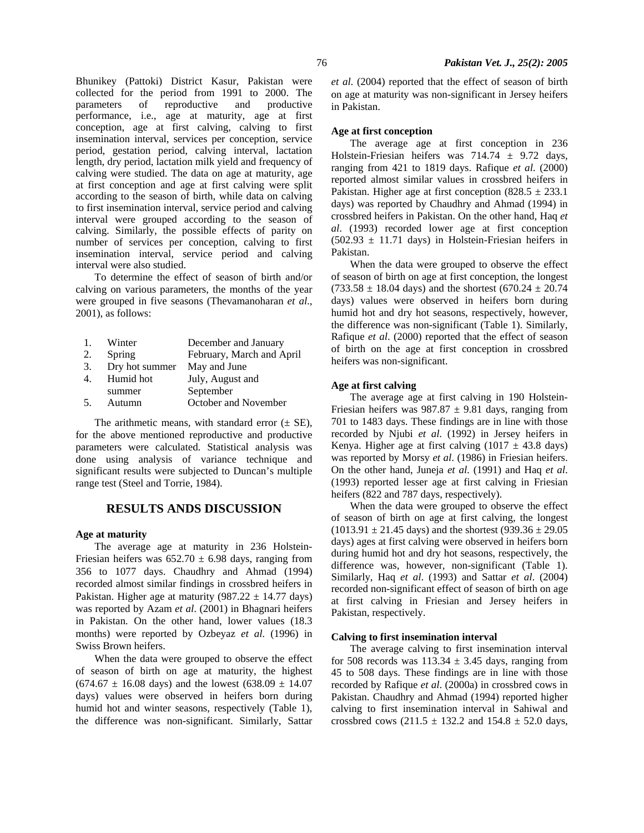Bhunikey (Pattoki) District Kasur, Pakistan were collected for the period from 1991 to 2000. The parameters of reproductive and productive performance, i.e., age at maturity, age at first conception, age at first calving, calving to first insemination interval, services per conception, service period, gestation period, calving interval, lactation length, dry period, lactation milk yield and frequency of calving were studied. The data on age at maturity, age at first conception and age at first calving were split according to the season of birth, while data on calving to first insemination interval, service period and calving interval were grouped according to the season of calving. Similarly, the possible effects of parity on number of services per conception, calving to first insemination interval, service period and calving interval were also studied.

To determine the effect of season of birth and/or calving on various parameters, the months of the year were grouped in five seasons (Thevamanoharan *et al*., 2001), as follows:

|                | Winter         | December and January      |
|----------------|----------------|---------------------------|
| 2.             | Spring         | February, March and April |
| 3.             | Dry hot summer | May and June              |
| $\mathbf{4}$ . | Humid hot      | July, August and          |
|                | summer         | September                 |
| .5.            | Autumn         | October and November      |

The arithmetic means, with standard error  $(\pm \text{ SE})$ , for the above mentioned reproductive and productive parameters were calculated. Statistical analysis was done using analysis of variance technique and significant results were subjected to Duncan's multiple range test (Steel and Torrie, 1984).

# **RESULTS ANDS DISCUSSION**

### **Age at maturity**

The average age at maturity in 236 Holstein-Friesian heifers was  $652.70 \pm 6.98$  days, ranging from 356 to 1077 days. Chaudhry and Ahmad (1994) recorded almost similar findings in crossbred heifers in Pakistan. Higher age at maturity (987.22  $\pm$  14.77 days) was reported by Azam *et al*. (2001) in Bhagnari heifers in Pakistan. On the other hand, lower values (18.3 months) were reported by Ozbeyaz *et al*. (1996) in Swiss Brown heifers.

When the data were grouped to observe the effect of season of birth on age at maturity, the highest  $(674.67 \pm 16.08$  days) and the lowest  $(638.09 \pm 14.07$ days) values were observed in heifers born during humid hot and winter seasons, respectively (Table 1), the difference was non-significant. Similarly, Sattar *et al*. (2004) reported that the effect of season of birth on age at maturity was non-significant in Jersey heifers in Pakistan.

### **Age at first conception**

The average age at first conception in 236 Holstein-Friesian heifers was 714.74 ± 9.72 days, ranging from 421 to 1819 days. Rafique *et al*. (2000) reported almost similar values in crossbred heifers in Pakistan. Higher age at first conception  $(828.5 \pm 233.1)$ days) was reported by Chaudhry and Ahmad (1994) in crossbred heifers in Pakistan. On the other hand, Haq *et al*. (1993) recorded lower age at first conception  $(502.93 \pm 11.71 \text{ days})$  in Holstein-Friesian heifers in Pakistan.

When the data were grouped to observe the effect of season of birth on age at first conception, the longest  $(733.58 \pm 18.04 \text{ days})$  and the shortest  $(670.24 \pm 20.74 \text{ s})$ days) values were observed in heifers born during humid hot and dry hot seasons, respectively, however, the difference was non-significant (Table 1). Similarly, Rafique *et al*. (2000) reported that the effect of season of birth on the age at first conception in crossbred heifers was non-significant.

#### **Age at first calving**

The average age at first calving in 190 Holstein-Friesian heifers was  $987.87 \pm 9.81$  days, ranging from 701 to 1483 days. These findings are in line with those recorded by Njubi *et al*. (1992) in Jersey heifers in Kenya. Higher age at first calving  $(1017 \pm 43.8 \text{ days})$ was reported by Morsy *et al*. (1986) in Friesian heifers. On the other hand, Juneja *et al*. (1991) and Haq *et al*. (1993) reported lesser age at first calving in Friesian heifers (822 and 787 days, respectively).

When the data were grouped to observe the effect of season of birth on age at first calving, the longest  $(1013.91 \pm 21.45 \text{ days})$  and the shortest  $(939.36 \pm 29.05$ days) ages at first calving were observed in heifers born during humid hot and dry hot seasons, respectively, the difference was, however, non-significant (Table 1). Similarly, Haq *et al*. (1993) and Sattar *et al*. (2004) recorded non-significant effect of season of birth on age at first calving in Friesian and Jersey heifers in Pakistan, respectively.

### **Calving to first insemination interval**

The average calving to first insemination interval for 508 records was  $113.34 \pm 3.45$  days, ranging from 45 to 508 days. These findings are in line with those recorded by Rafique *et al*. (2000a) in crossbred cows in Pakistan. Chaudhry and Ahmad (1994) reported higher calving to first insemination interval in Sahiwal and crossbred cows  $(211.5 \pm 132.2 \text{ and } 154.8 \pm 52.0 \text{ days})$ ,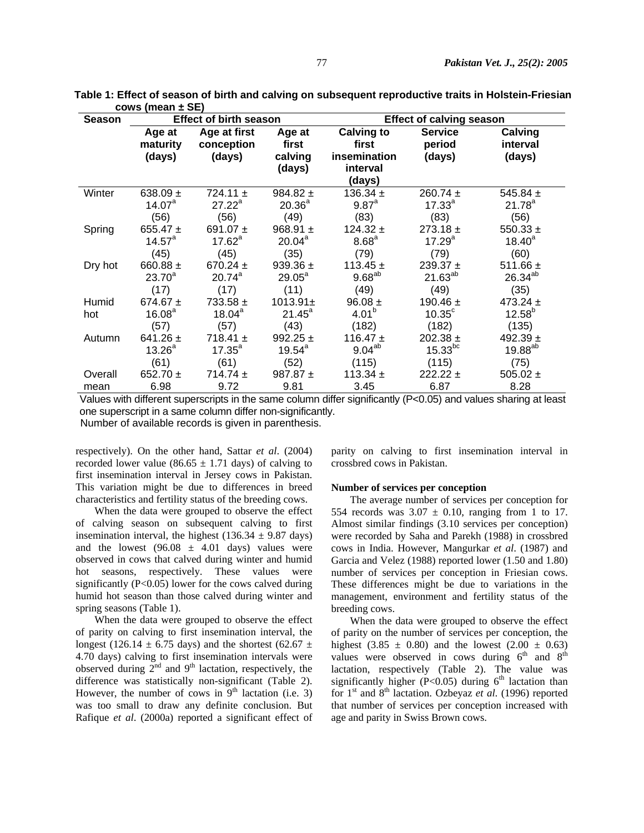| <b>Season</b> | <b>Effect of birth season</b>              |                                      |                                      | <b>Effect of calving season</b>                                  |                                          |                                      |  |
|---------------|--------------------------------------------|--------------------------------------|--------------------------------------|------------------------------------------------------------------|------------------------------------------|--------------------------------------|--|
|               | Age at<br>maturity<br>(days)               | Age at first<br>conception<br>(days) | Age at<br>first<br>calving<br>(days) | <b>Calving to</b><br>first<br>insemination<br>interval<br>(days) | <b>Service</b><br>period<br>(days)       | Calving<br>interval<br>(days)        |  |
| Winter        | 638.09 $\pm$                               | $724.11 \pm$                         | 984.82 $\pm$                         | 136.34 $\pm$                                                     | $260.74 \pm$                             | 545.84 $\pm$                         |  |
|               | $14.07^{\text{a}}$                         | $27.22^a$                            | $20.36^{a}$                          | $9.87^{a}$                                                       | $17.33^{a}$                              | $21.78^{a}$                          |  |
|               | (56)                                       | (56)                                 | (49)                                 | (83)                                                             | (83)                                     | (56)                                 |  |
| Spring        | 655.47 $\pm$                               | 691.07 $\pm$                         | 968.91 $\pm$                         | 124.32 $\pm$                                                     | $273.18 \pm$                             | 550.33 $\pm$                         |  |
|               | $14.57^{\circ}$                            | $17.62^a$                            | 20.04 <sup>a</sup>                   | 8.68 <sup>a</sup>                                                | $17.29^{a}$                              | $18.40^{a}$                          |  |
|               | (45)                                       | (45)                                 | (35)                                 | (79)                                                             | (79)                                     | (60)                                 |  |
| Dry hot       | 660.88 $\pm$                               | 670.24 $\pm$                         | 939.36 $\pm$                         | 113.45 $\pm$                                                     | 239.37 $\pm$                             | 511.66 $\pm$                         |  |
|               | $23.70^{a}$                                | $20.74^{a}$                          | $29.05^a$                            | $9.68^{ab}$                                                      | $21.63^{ab}$                             | $26.34^{ab}$                         |  |
|               | (17)                                       | (17)                                 | (11)                                 | (49)                                                             | (49)                                     | (35)                                 |  |
| Humid<br>hot  | 674.67 $\pm$<br>16.08 <sup>a</sup><br>(57) | $733.58 \pm$<br>$18.04^a$<br>(57)    | $1013.91 \pm$<br>$21.45^a$<br>(43)   | $96.08 \pm$<br>4.01 <sup>b</sup><br>(182)                        | 190.46 $\pm$<br>$10.35^{\circ}$<br>(182) | 473.24 $\pm$<br>$12.58^{b}$<br>(135) |  |
| Autumn        | 641.26 $\pm$                               | 718.41 $\pm$                         | 992.25 $\pm$                         | 116.47 $\pm$                                                     | $202.38 \pm$                             | 492.39 $\pm$                         |  |
|               | $13.26^{\circ}$                            | $17.35^{a}$                          | $19.54^a$                            | $9.04^{ab}$                                                      | $15.33^{bc}$                             | $19.88^{ab}$                         |  |
|               | (61)                                       | (61)                                 | (52)                                 | (115)                                                            | (115)                                    | (75)                                 |  |
| Overall       | 652.70 $\pm$                               | $714.74 \pm$                         | 987.87 $\pm$                         | 113.34 $\pm$                                                     | $222.22 \pm$                             | 505.02 $\pm$                         |  |
| mean          | 6.98                                       | 9.72                                 | 9.81                                 | 3.45                                                             | 6.87                                     | 8.28                                 |  |

 **Table 1: Effect of season of birth and calving on subsequent reproductive traits in Holstein-Friesian cows (mean ± SE)** 

 Values with different superscripts in the same column differ significantly (P<0.05) and values sharing at least one superscript in a same column differ non-significantly.

Number of available records is given in parenthesis.

respectively). On the other hand, Sattar *et al*. (2004) recorded lower value (86.65  $\pm$  1.71 days) of calving to first insemination interval in Jersey cows in Pakistan. This variation might be due to differences in breed characteristics and fertility status of the breeding cows.

When the data were grouped to observe the effect of calving season on subsequent calving to first insemination interval, the highest (136.34  $\pm$  9.87 days) and the lowest  $(96.08 \pm 4.01$  days) values were observed in cows that calved during winter and humid hot seasons, respectively. These values were significantly (P<0.05) lower for the cows calved during humid hot season than those calved during winter and spring seasons (Table 1).

When the data were grouped to observe the effect of parity on calving to first insemination interval, the longest (126.14  $\pm$  6.75 days) and the shortest (62.67  $\pm$ 4.70 days) calving to first insemination intervals were observed during  $2<sup>nd</sup>$  and  $9<sup>th</sup>$  lactation, respectively, the difference was statistically non-significant (Table 2). However, the number of cows in  $9<sup>th</sup>$  lactation (i.e. 3) was too small to draw any definite conclusion. But Rafique *et al*. (2000a) reported a significant effect of

parity on calving to first insemination interval in crossbred cows in Pakistan.

#### **Number of services per conception**

The average number of services per conception for 554 records was  $3.07 \pm 0.10$ , ranging from 1 to 17. Almost similar findings (3.10 services per conception) were recorded by Saha and Parekh (1988) in crossbred cows in India. However, Mangurkar *et al*. (1987) and Garcia and Velez (1988) reported lower (1.50 and 1.80) number of services per conception in Friesian cows. These differences might be due to variations in the management, environment and fertility status of the breeding cows.

When the data were grouped to observe the effect of parity on the number of services per conception, the highest  $(3.85 \pm 0.80)$  and the lowest  $(2.00 \pm 0.63)$ values were observed in cows during  $6<sup>th</sup>$  and  $8<sup>th</sup>$ lactation, respectively (Table 2). The value was significantly higher (P<0.05) during  $6<sup>th</sup>$  lactation than for 1st and 8th lactation. Ozbeyaz *et al*. (1996) reported that number of services per conception increased with age and parity in Swiss Brown cows.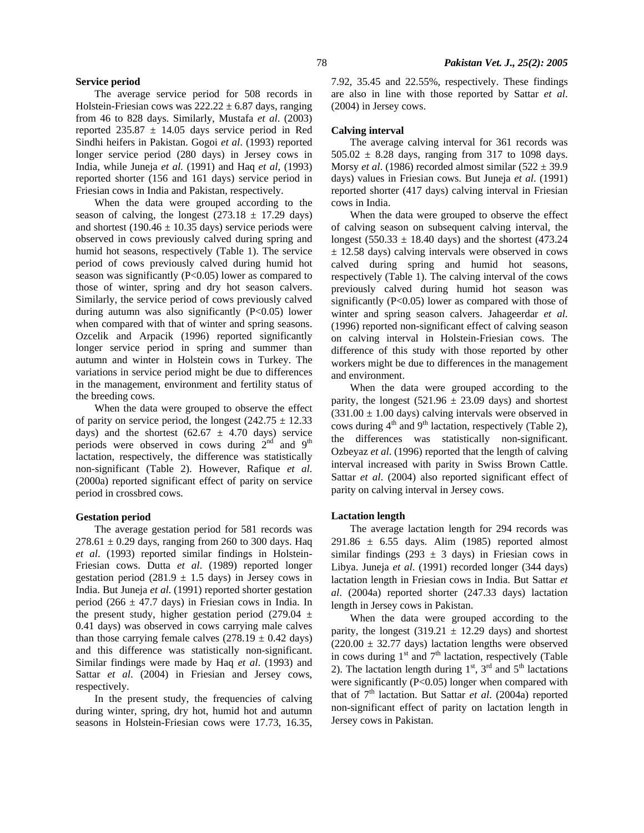### **Service period**

The average service period for 508 records in Holstein-Friesian cows was  $222.22 \pm 6.87$  days, ranging from 46 to 828 days. Similarly, Mustafa *et al*. (2003) reported  $235.87 \pm 14.05$  days service period in Red Sindhi heifers in Pakistan. Gogoi *et al*. (1993) reported longer service period (280 days) in Jersey cows in India, while Juneja *et al*. (1991) and Haq *et al*, (1993) reported shorter (156 and 161 days) service period in Friesian cows in India and Pakistan, respectively.

When the data were grouped according to the season of calving, the longest  $(273.18 \pm 17.29$  days) and shortest (190.46  $\pm$  10.35 days) service periods were observed in cows previously calved during spring and humid hot seasons, respectively (Table 1). The service period of cows previously calved during humid hot season was significantly (P<0.05) lower as compared to those of winter, spring and dry hot season calvers. Similarly, the service period of cows previously calved during autumn was also significantly (P<0.05) lower when compared with that of winter and spring seasons. Ozcelik and Arpacik (1996) reported significantly longer service period in spring and summer than autumn and winter in Holstein cows in Turkey. The variations in service period might be due to differences in the management, environment and fertility status of the breeding cows.

When the data were grouped to observe the effect of parity on service period, the longest  $(242.75 \pm 12.33)$ days) and the shortest  $(62.67 \pm 4.70)$  days) service periods were observed in cows during  $2<sup>nd</sup>$  and  $9<sup>th</sup>$ lactation, respectively, the difference was statistically non-significant (Table 2). However, Rafique *et al*. (2000a) reported significant effect of parity on service period in crossbred cows.

### **Gestation period**

The average gestation period for 581 records was  $278.61 \pm 0.29$  days, ranging from 260 to 300 days. Haq *et al*. (1993) reported similar findings in Holstein-Friesian cows. Dutta *et al*. (1989) reported longer gestation period (281.9  $\pm$  1.5 days) in Jersey cows in India. But Juneja *et al*. (1991) reported shorter gestation period (266  $\pm$  47.7 days) in Friesian cows in India. In the present study, higher gestation period (279.04  $\pm$ 0.41 days) was observed in cows carrying male calves than those carrying female calves  $(278.19 \pm 0.42$  days) and this difference was statistically non-significant. Similar findings were made by Haq *et al*. (1993) and Sattar *et al*. (2004) in Friesian and Jersey cows, respectively.

In the present study, the frequencies of calving during winter, spring, dry hot, humid hot and autumn seasons in Holstein-Friesian cows were 17.73, 16.35, 7.92, 35.45 and 22.55%, respectively. These findings are also in line with those reported by Sattar *et al*. (2004) in Jersey cows.

### **Calving interval**

The average calving interval for 361 records was  $505.02 \pm 8.28$  days, ranging from 317 to 1098 days. Morsy *et al*. (1986) recorded almost similar (522 ± 39.9 days) values in Friesian cows. But Juneja *et al*. (1991) reported shorter (417 days) calving interval in Friesian cows in India.

When the data were grouped to observe the effect of calving season on subsequent calving interval, the longest (550.33  $\pm$  18.40 days) and the shortest (473.24 ± 12.58 days) calving intervals were observed in cows calved during spring and humid hot seasons, respectively (Table 1). The calving interval of the cows previously calved during humid hot season was significantly  $(P<0.05)$  lower as compared with those of winter and spring season calvers. Jahageerdar *et al*. (1996) reported non-significant effect of calving season on calving interval in Holstein-Friesian cows. The difference of this study with those reported by other workers might be due to differences in the management and environment.

When the data were grouped according to the parity, the longest  $(521.96 \pm 23.09$  days) and shortest  $(331.00 \pm 1.00$  days) calving intervals were observed in cows during  $4<sup>th</sup>$  and  $9<sup>th</sup>$  lactation, respectively (Table 2), the differences was statistically non-significant. Ozbeyaz *et al*. (1996) reported that the length of calving interval increased with parity in Swiss Brown Cattle. Sattar *et al*. (2004) also reported significant effect of parity on calving interval in Jersey cows.

#### **Lactation length**

The average lactation length for 294 records was 291.86  $\pm$  6.55 days. Alim (1985) reported almost similar findings (293  $\pm$  3 days) in Friesian cows in Libya. Juneja *et al*. (1991) recorded longer (344 days) lactation length in Friesian cows in India. But Sattar *et al*. (2004a) reported shorter (247.33 days) lactation length in Jersey cows in Pakistan.

When the data were grouped according to the parity, the longest  $(319.21 \pm 12.29$  days) and shortest  $(220.00 \pm 32.77$  days) lactation lengths were observed in cows during  $1<sup>st</sup>$  and  $7<sup>th</sup>$  lactation, respectively (Table 2). The lactation length during  $1<sup>st</sup>$ ,  $3<sup>rd</sup>$  and  $5<sup>th</sup>$  lactations were significantly  $(P<0.05)$  longer when compared with that of 7<sup>th</sup> lactation. But Sattar *et al.* (2004a) reported non-significant effect of parity on lactation length in Jersey cows in Pakistan.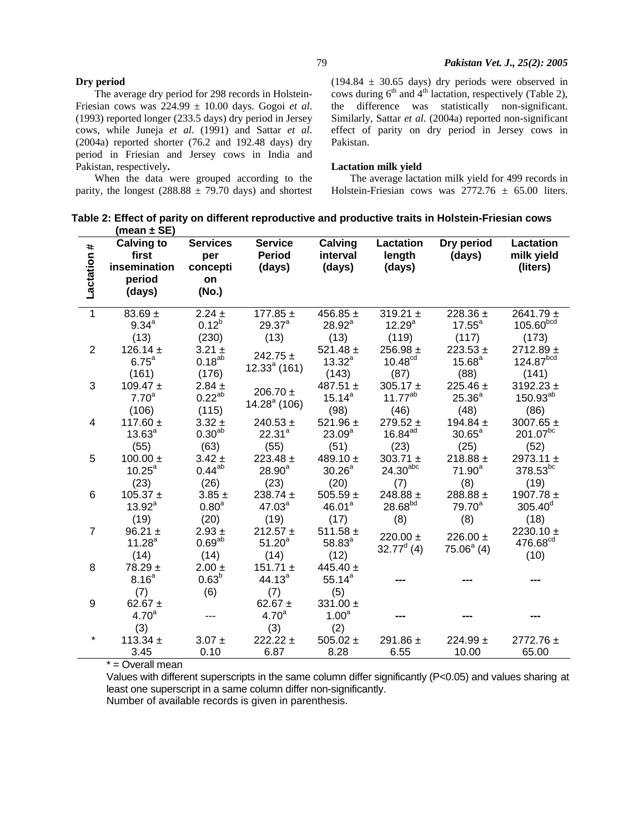## 79 *Pakistan Vet. J., 25(2): 2005*

## **Dry period**

The average dry period for 298 records in Holstein-Friesian cows was 224.99 ± 10.00 days. Gogoi *et al*. (1993) reported longer (233.5 days) dry period in Jersey cows, while Juneja *et al*. (1991) and Sattar *et al*. (2004a) reported shorter (76.2 and 192.48 days) dry period in Friesian and Jersey cows in India and Pakistan, respectively**.** 

When the data were grouped according to the parity, the longest (288.88  $\pm$  79.70 days) and shortest

 $(194.84 \pm 30.65$  days) dry periods were observed in cows during  $6<sup>th</sup>$  and  $4<sup>th</sup>$  lactation, respectively (Table 2), the difference was statistically non-significant. Similarly, Sattar *et al*. (2004a) reported non-significant effect of parity on dry period in Jersey cows in Pakistan.

### **Lactation milk yield**

The average lactation milk yield for 499 records in Holstein-Friesian cows was  $2772.76 \pm 65.00$  liters.

|                 | Table 2: Effect of parity on different reproductive and productive traits in Holstein-Friesian cows |
|-----------------|-----------------------------------------------------------------------------------------------------|
| (mean $\pm$ SE) |                                                                                                     |

| Lactation #             | <b>Calving to</b><br>first<br>insemination<br>period | <b>Services</b><br>per<br>concepti<br>on | <b>Service</b><br><b>Period</b><br>(days) | Calving<br>interval<br>(days) | Lactation<br>length<br>(days) | Dry period<br>(days) | Lactation<br>milk yield<br>(liters) |
|-------------------------|------------------------------------------------------|------------------------------------------|-------------------------------------------|-------------------------------|-------------------------------|----------------------|-------------------------------------|
|                         | (days)                                               | (No.)                                    |                                           |                               |                               |                      |                                     |
| $\overline{1}$          | $83.69 \pm$                                          | $2.24 \pm$                               | 177.85 $\pm$                              | 456.85 $\pm$                  | 319.21 $\pm$                  | 228.36 $\pm$         | $2641.79 \pm$                       |
|                         | $9.34^{a}$                                           | $0.12^{b}$                               | $29.37^{a}$                               | $28.92^a$                     | 12.29 <sup>a</sup>            | $17.55^a$            | 105.60 <sup>bcd</sup>               |
|                         | (13)                                                 | (230)                                    | (13)                                      | (13)                          | (119)                         | (117)                | (173)                               |
| $\overline{2}$          | 126.14 $\pm$                                         | $3.21 \pm$                               | $242.75 \pm$                              | 521.48 $\pm$                  | $256.98 \pm$                  | $223.53 +$           | $2712.89 \pm$                       |
|                         | $6.75^a$                                             | $0.18^{ab}$                              | $12.33a$ (161)                            | $13.32^{a}$                   | 10.48 <sup>cd</sup>           | $15.68^{a}$          | 124.87 <sup>bcd</sup>               |
|                         | (161)                                                | (176)                                    |                                           | (143)                         | (87)                          | (88)                 | (141)                               |
| 3                       | 109.47 $\pm$                                         | $2.84 \pm$                               | 206.70 $\pm$                              | 487.51 $\pm$                  | 305.17 $\pm$                  | 225.46 $\pm$         | 3192.23 $\pm$                       |
|                         | 7.70 <sup>a</sup>                                    | $0.22^{ab}$                              | $14.28a$ (106)                            | $15.14^{a}$                   | $11.77^{ab}$                  | $25.36^{a}$          | $150.93^{ab}$                       |
|                         | (106)                                                | (115)                                    |                                           | (98)                          | (46)                          | (48)                 | (86)                                |
| $\overline{\mathbf{4}}$ | 117.60 $\pm$                                         | $3.32 \pm$                               | $240.53 +$                                | 521.96 $\pm$                  | $279.52 \pm$                  | 194.84 $\pm$         | 3007.65 $\pm$                       |
|                         | $13.63^{a}$                                          | 0.30 <sup>ab</sup>                       | $22.31^{a}$                               | $23.09^{a}$                   | $16.84$ <sup>ad</sup>         | $30.65^a$            | $201.07^{bc}$                       |
|                         | (55)                                                 | (63)                                     | (55)                                      | (51)                          | (23)                          | (25)                 | (52)                                |
| 5                       | $100.00 \pm$                                         | $3.42 \pm$                               | $223.48 \pm$                              | 489.10 $\pm$                  | 303.71 $\pm$                  | 218.88 $\pm$         | 2973.11 $\pm$                       |
|                         | $10.25^a$                                            | $0.44^{ab}$                              | 28.90 <sup>a</sup>                        | $30.26^{\mathrm{a}}$          | $24.30$ <sup>abc</sup>        | $71.90^a$            | $378.53^{bc}$                       |
|                         | (23)                                                 | (26)                                     | (23)                                      | (20)                          | (7)                           | (8)                  | (19)                                |
| 6                       | $105.37 \pm$                                         | $3.85 \pm$                               | 238.74 $\pm$                              | 505.59 $\pm$                  | 248.88 $\pm$                  | 288.88 $\pm$         | 1907.78 $\pm$                       |
|                         | $13.92^a$                                            | 0.80 <sup>a</sup>                        | $47.03^{a}$                               | 46.01 <sup>a</sup>            | 28.68 <sup>bd</sup>           | $79.70^a$            | $305.40^d$                          |
|                         | (19)                                                 | (20)                                     | (19)                                      | (17)                          | (8)                           | (8)                  | (18)                                |
| $\overline{7}$          | $96.21 \pm$                                          | $2.93 \pm$                               | $212.57 \pm$                              | 511.58 $\pm$                  | 220.00 $\pm$                  | 226.00 $\pm$         | 2230.10 $\pm$                       |
|                         | $11.28^{a}$                                          | $0.69^{ab}$                              | $51.20^{a}$                               | $58.83^{a}$                   | $32.77^d$ (4)                 | $75.06a$ (4)         | 476.68 <sup>cd</sup>                |
|                         | (14)                                                 | (14)                                     | (14)                                      | (12)                          |                               |                      | (10)                                |
| 8                       | $78.29 \pm$                                          | $2.00 \pm$                               | 151.71 $\pm$                              | 445.40 $\pm$                  |                               |                      |                                     |
|                         | 8.16 <sup>a</sup>                                    | $0.63^{b}$                               | $44.13^{a}$                               | $55.14^{a}$                   |                               |                      |                                     |
|                         | (7)                                                  | (6)                                      | (7)                                       | (5)                           |                               |                      |                                     |
| 9                       | 62.67 $\pm$                                          |                                          | 62.67 $\pm$                               | 331.00 $\pm$                  |                               |                      |                                     |
|                         | 4.70 <sup>a</sup>                                    | ---                                      | 4.70 <sup>a</sup>                         | 1.00 <sup>a</sup>             |                               |                      |                                     |
|                         | (3)                                                  |                                          | (3)                                       | (2)                           |                               |                      |                                     |
| $\star$                 | 113.34 $\pm$                                         | $3.07 \pm$                               | $222.22 \pm$                              | 505.02 $\pm$                  | 291.86 $\pm$                  | 224.99 $\pm$         | $2772.76 \pm$                       |
|                         | 3.45                                                 | 0.10                                     | 6.87                                      | 8.28                          | 6.55                          | 10.00                | 65.00                               |

\* = Overall mean

 Values with different superscripts in the same column differ significantly (P<0.05) and values sharing at least one superscript in a same column differ non-significantly. Number of available records is given in parenthesis.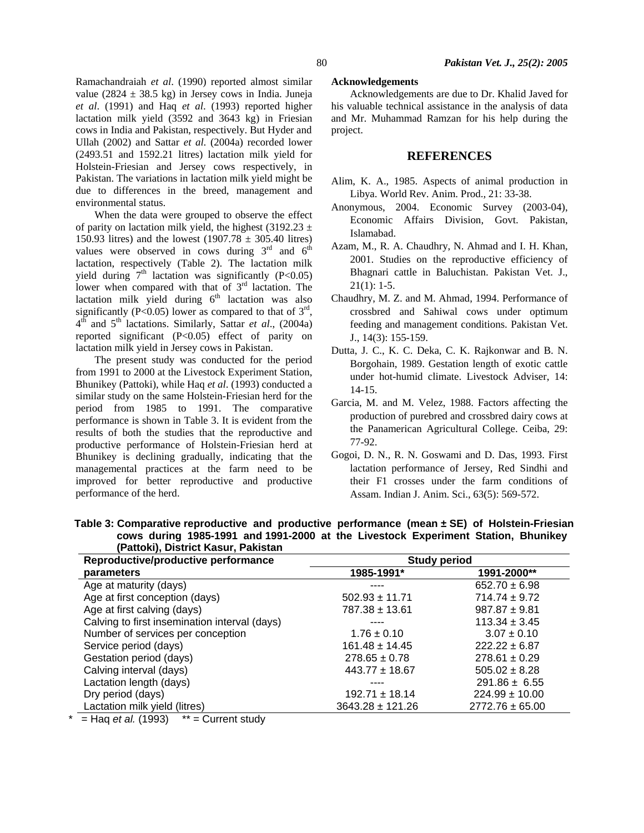Ramachandraiah *et al*. (1990) reported almost similar value (2824  $\pm$  38.5 kg) in Jersey cows in India. Juneja *et al*. (1991) and Haq *et al*. (1993) reported higher lactation milk yield (3592 and 3643 kg) in Friesian cows in India and Pakistan, respectively. But Hyder and Ullah (2002) and Sattar *et al*. (2004a) recorded lower (2493.51 and 1592.21 litres) lactation milk yield for Holstein-Friesian and Jersey cows respectively, in Pakistan. The variations in lactation milk yield might be due to differences in the breed, management and environmental status.

When the data were grouped to observe the effect of parity on lactation milk yield, the highest (3192.23  $\pm$ 150.93 litres) and the lowest  $(1907.78 \pm 305.40)$  litres) values were observed in cows during  $3<sup>rd</sup>$  and  $6<sup>th</sup>$ lactation, respectively (Table 2). The lactation milk yield during  $7<sup>th</sup>$  lactation was significantly (P<0.05) lower when compared with that of  $3<sup>rd</sup>$  lactation. The lactation milk yield during  $6<sup>th</sup>$  lactation was also significantly (P<0.05) lower as compared to that of  $3<sup>rd</sup>$ , 4th and 5th lactations. Similarly, Sattar *et al*., (2004a) reported significant (P<0.05) effect of parity on lactation milk yield in Jersey cows in Pakistan.

The present study was conducted for the period from 1991 to 2000 at the Livestock Experiment Station, Bhunikey (Pattoki), while Haq *et al*. (1993) conducted a similar study on the same Holstein-Friesian herd for the period from 1985 to 1991. The comparative performance is shown in Table 3. It is evident from the results of both the studies that the reproductive and productive performance of Holstein-Friesian herd at Bhunikey is declining gradually, indicating that the managemental practices at the farm need to be improved for better reproductive and productive performance of the herd.

### **Acknowledgements**

Acknowledgements are due to Dr. Khalid Javed for his valuable technical assistance in the analysis of data and Mr. Muhammad Ramzan for his help during the project.

# **REFERENCES**

- Alim, K. A., 1985. Aspects of animal production in Libya. World Rev. Anim. Prod.*,* 21: 33-38.
- Anonymous, 2004. Economic Survey (2003-04), Economic Affairs Division, Govt. Pakistan, Islamabad.
- Azam, M., R. A. Chaudhry, N. Ahmad and I. H. Khan, 2001. Studies on the reproductive efficiency of Bhagnari cattle in Baluchistan. Pakistan Vet. J.,  $21(1): 1-5.$
- Chaudhry, M. Z. and M. Ahmad, 1994. Performance of crossbred and Sahiwal cows under optimum feeding and management conditions. Pakistan Vet. J., 14(3): 155-159.
- Dutta, J. C., K. C. Deka, C. K. Rajkonwar and B. N. Borgohain, 1989. Gestation length of exotic cattle under hot-humid climate. Livestock Adviser, 14: 14-15.
- Garcia, M. and M. Velez, 1988. Factors affecting the production of purebred and crossbred dairy cows at the Panamerican Agricultural College. Ceiba, 29: 77-92.
- Gogoi, D. N., R. N. Goswami and D. Das, 1993. First lactation performance of Jersey, Red Sindhi and their F1 crosses under the farm conditions of Assam. Indian J. Anim. Sci., 63(5): 569-572.

| (Pattoki), District Kasur, Pakistan           |                      |                     |
|-----------------------------------------------|----------------------|---------------------|
| Reproductive/productive performance           | <b>Study period</b>  |                     |
| parameters                                    | 1985-1991*           | 1991-2000**         |
| Age at maturity (days)                        |                      | $652.70 \pm 6.98$   |
| Age at first conception (days)                | $502.93 \pm 11.71$   | $714.74 \pm 9.72$   |
| Age at first calving (days)                   | $787.38 \pm 13.61$   | $987.87 \pm 9.81$   |
| Calving to first insemination interval (days) |                      | $113.34 \pm 3.45$   |
| Number of services per conception             | $1.76 \pm 0.10$      | $3.07 \pm 0.10$     |
| Service period (days)                         | $161.48 \pm 14.45$   | $222.22 \pm 6.87$   |
| Gestation period (days)                       | $278.65 \pm 0.78$    | $278.61 \pm 0.29$   |
| Calving interval (days)                       | $443.77 \pm 18.67$   | $505.02 \pm 8.28$   |
| Lactation length (days)                       |                      | $291.86 \pm 6.55$   |
| Dry period (days)                             | $192.71 \pm 18.14$   | $224.99 \pm 10.00$  |
| Lactation milk yield (litres)                 | $3643.28 \pm 121.26$ | $2772.76 \pm 65.00$ |

 **Table 3: Comparative reproductive and productive performance (mean ± SE) of Holstein-Friesian cows during 1985-1991 and 1991-2000 at the Livestock Experiment Station, Bhunikey** 

\* = Haq *et al.* (1993) \*\* = Current study